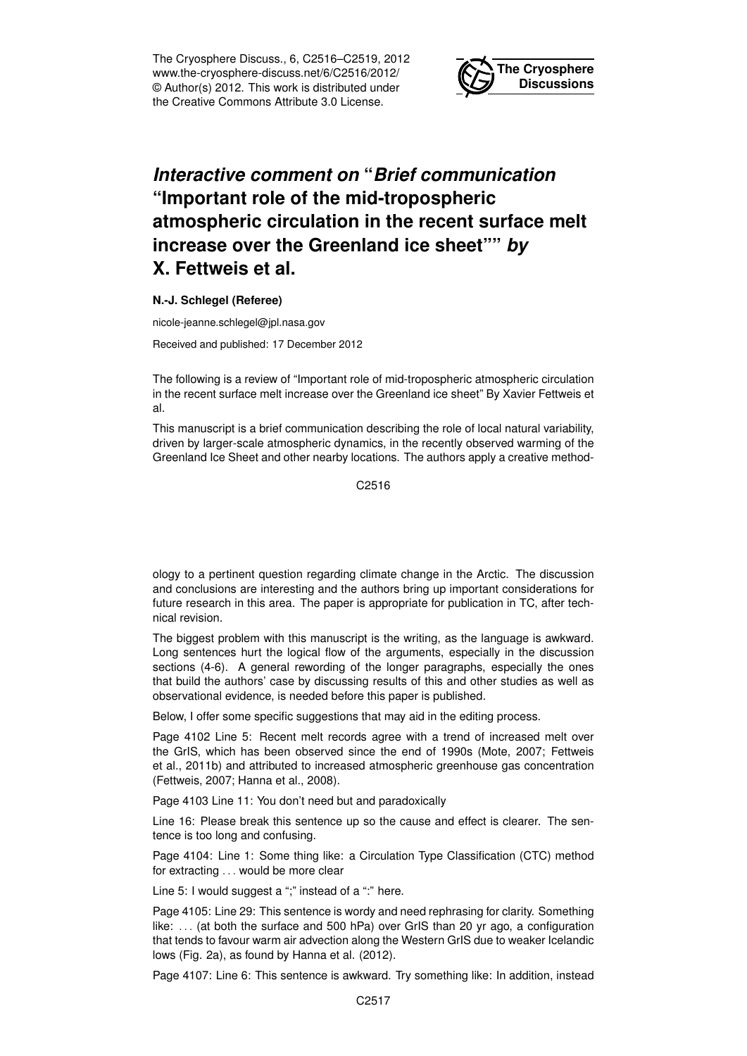The Cryosphere Discuss., 6, C2516–C2519, 2012 www.the-cryosphere-discuss.net/6/C2516/2012/ © Author(s) 2012. This work is distributed under the Creative Commons Attribute 3.0 License.



## *Interactive comment on* **"***Brief communication* **"Important role of the mid-tropospheric atmospheric circulation in the recent surface melt increase over the Greenland ice sheet""** *by* **X. Fettweis et al.**

## **N.-J. Schlegel (Referee)**

nicole-jeanne.schlegel@jpl.nasa.gov

Received and published: 17 December 2012

The following is a review of "Important role of mid-tropospheric atmospheric circulation in the recent surface melt increase over the Greenland ice sheet" By Xavier Fettweis et al.

This manuscript is a brief communication describing the role of local natural variability, driven by larger-scale atmospheric dynamics, in the recently observed warming of the Greenland Ice Sheet and other nearby locations. The authors apply a creative method-

C2516

ology to a pertinent question regarding climate change in the Arctic. The discussion and conclusions are interesting and the authors bring up important considerations for future research in this area. The paper is appropriate for publication in TC, after technical revision.

The biggest problem with this manuscript is the writing, as the language is awkward. Long sentences hurt the logical flow of the arguments, especially in the discussion sections (4-6). A general rewording of the longer paragraphs, especially the ones that build the authors' case by discussing results of this and other studies as well as observational evidence, is needed before this paper is published.

Below, I offer some specific suggestions that may aid in the editing process.

Page 4102 Line 5: Recent melt records agree with a trend of increased melt over the GrIS, which has been observed since the end of 1990s (Mote, 2007; Fettweis et al., 2011b) and attributed to increased atmospheric greenhouse gas concentration (Fettweis, 2007; Hanna et al., 2008).

Page 4103 Line 11: You don't need but and paradoxically

Line 16: Please break this sentence up so the cause and effect is clearer. The sentence is too long and confusing.

Page 4104: Line 1: Some thing like: a Circulation Type Classification (CTC) method for extracting . . . would be more clear

Line 5: I would suggest a ";" instead of a ":" here.

Page 4105: Line 29: This sentence is wordy and need rephrasing for clarity. Something like: ... (at both the surface and 500 hPa) over GrIS than 20 yr ago, a configuration that tends to favour warm air advection along the Western GrIS due to weaker Icelandic lows (Fig. 2a), as found by Hanna et al. (2012).

Page 4107: Line 6: This sentence is awkward. Try something like: In addition, instead